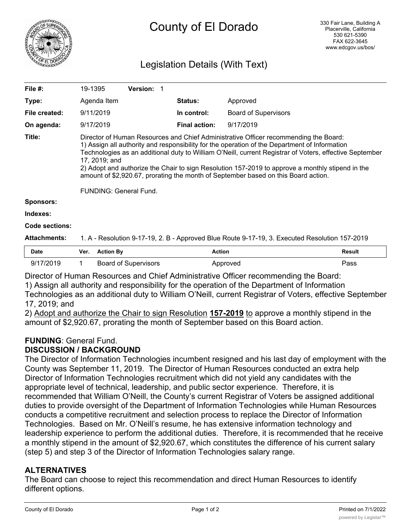

## Legislation Details (With Text)

| File #:             | 19-1395                                                                                                                                                                                                                                                                                                                                                                                                                                                                                                                               | <b>Version: 1</b>           |                      |                             |        |
|---------------------|---------------------------------------------------------------------------------------------------------------------------------------------------------------------------------------------------------------------------------------------------------------------------------------------------------------------------------------------------------------------------------------------------------------------------------------------------------------------------------------------------------------------------------------|-----------------------------|----------------------|-----------------------------|--------|
| Type:               | Agenda Item                                                                                                                                                                                                                                                                                                                                                                                                                                                                                                                           |                             | <b>Status:</b>       | Approved                    |        |
| File created:       | 9/11/2019                                                                                                                                                                                                                                                                                                                                                                                                                                                                                                                             |                             | In control:          | <b>Board of Supervisors</b> |        |
| On agenda:          | 9/17/2019                                                                                                                                                                                                                                                                                                                                                                                                                                                                                                                             |                             | <b>Final action:</b> | 9/17/2019                   |        |
| Title:              | Director of Human Resources and Chief Administrative Officer recommending the Board:<br>1) Assign all authority and responsibility for the operation of the Department of Information<br>Technologies as an additional duty to William O'Neill, current Registrar of Voters, effective September<br>17, 2019; and<br>2) Adopt and authorize the Chair to sign Resolution 157-2019 to approve a monthly stipend in the<br>amount of \$2,920.67, prorating the month of September based on this Board action.<br>FUNDING: General Fund. |                             |                      |                             |        |
| <b>Sponsors:</b>    |                                                                                                                                                                                                                                                                                                                                                                                                                                                                                                                                       |                             |                      |                             |        |
| Indexes:            |                                                                                                                                                                                                                                                                                                                                                                                                                                                                                                                                       |                             |                      |                             |        |
| Code sections:      |                                                                                                                                                                                                                                                                                                                                                                                                                                                                                                                                       |                             |                      |                             |        |
| <b>Attachments:</b> | 1. A - Resolution 9-17-19, 2. B - Approved Blue Route 9-17-19, 3. Executed Resolution 157-2019                                                                                                                                                                                                                                                                                                                                                                                                                                        |                             |                      |                             |        |
| Date                | <b>Action By</b><br>Ver.                                                                                                                                                                                                                                                                                                                                                                                                                                                                                                              |                             | <b>Action</b>        |                             | Result |
| 9/17/2019           | 1                                                                                                                                                                                                                                                                                                                                                                                                                                                                                                                                     | <b>Board of Supervisors</b> |                      | Approved                    | Pass   |

Director of Human Resources and Chief Administrative Officer recommending the Board: 1) Assign all authority and responsibility for the operation of the Department of Information

Technologies as an additional duty to William O'Neill, current Registrar of Voters, effective September 17, 2019; and

2) Adopt and authorize the Chair to sign Resolution **157-2019** to approve a monthly stipend in the amount of \$2,920.67, prorating the month of September based on this Board action.

#### **FUNDING**: General Fund. **DISCUSSION / BACKGROUND**

The Director of Information Technologies incumbent resigned and his last day of employment with the County was September 11, 2019. The Director of Human Resources conducted an extra help Director of Information Technologies recruitment which did not yield any candidates with the appropriate level of technical, leadership, and public sector experience. Therefore, it is recommended that William O'Neill, the County's current Registrar of Voters be assigned additional duties to provide oversight of the Department of Information Technologies while Human Resources conducts a competitive recruitment and selection process to replace the Director of Information Technologies. Based on Mr. O'Neill's resume, he has extensive information technology and leadership experience to perform the additional duties. Therefore, it is recommended that he receive a monthly stipend in the amount of \$2,920.67, which constitutes the difference of his current salary (step 5) and step 3 of the Director of Information Technologies salary range.

### **ALTERNATIVES**

The Board can choose to reject this recommendation and direct Human Resources to identify different options.